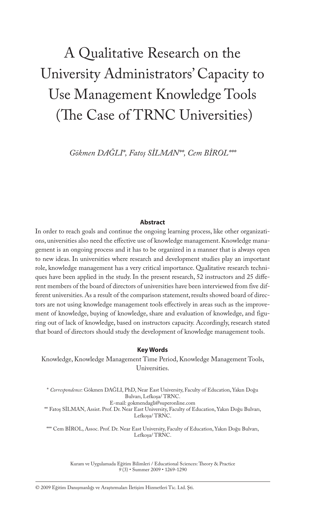# A Qualitative Research on the University Administrators' Capacity to Use Management Knowledge Tools (The Case of TRNC Universities)

*Gökmen DAĞLI\*, Fatoş SİLMAN\*\*, Cem BİROL\*\*\**

#### **Abstract**

In order to reach goals and continue the ongoing learning process, like other organizations, universities also need the effective use of knowledge management. Knowledge management is an ongoing process and it has to be organized in a manner that is always open to new ideas. In universities where research and development studies play an important role, knowledge management has a very critical importance. Qualitative research techniques have been applied in the study. In the present research, 52 instructors and 25 different members of the board of directors of universities have been interviewed from five different universities. As a result of the comparison statement, results showed board of directors are not using knowledge management tools effectively in areas such as the improvement of knowledge, buying of knowledge, share and evaluation of knowledge, and figuring out of lack of knowledge, based on instructors capacity. Accordingly, research stated that board of directors should study the development of knowledge management tools.

#### **Key Words**

Knowledge, Knowledge Management Time Period, Knowledge Management Tools, Universities.

\* *Correspondence*: Gökmen DAĞLI, PhD, Near East University, Faculty of Education, Yakın Doğu Bulvarı, Lefkoşa/ TRNC. E-mail: gokmendagli@superonline.com \*\* Fatoş SİLMAN, Assist. Prof. Dr. Near East University, Faculty of Education, Yakın Doğu Bulvarı, Lefkoşa/ TRNC.

\*\*\* Cem BİROL, Assoc. Prof. Dr. Near East University, Faculty of Education, Yakın Doğu Bulvarı,

Lefkoşa/ TRNC.

Kuram ve Uygulamada Eğitim Bilimleri / Educational Sciences: Theory & Practice *9* (3) • Summer 2009 • 1269-1290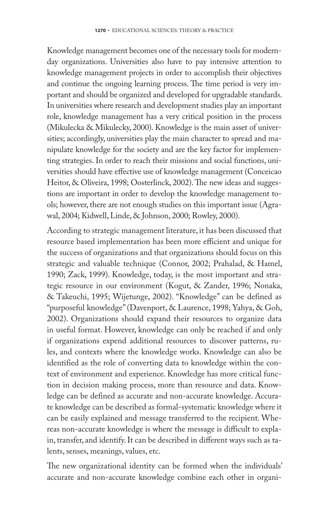Knowledge management becomes one of the necessary tools for modernday organizations. Universities also have to pay intensive attention to knowledge management projects in order to accomplish their objectives and continue the ongoing learning process. The time period is very important and should be organized and developed for upgradable standards. In universities where research and development studies play an important role, knowledge management has a very critical position in the process (Mikulecka & Mikulecky, 2000). Knowledge is the main asset of universities; accordingly, universities play the main character to spread and manipulate knowledge for the society and are the key factor for implementing strategies. In order to reach their missions and social functions, universities should have effective use of knowledge management (Conceicao Heitor, & Oliveira, 1998; Oosterlinck, 2002). The new ideas and suggestions are important in order to develop the knowledge management tools; however, there are not enough studies on this important issue (Agrawal, 2004; Kidwell, Linde, & Johnson, 2000; Rowley, 2000).

According to strategic management literature, it has been discussed that resource based implementation has been more efficient and unique for the success of organizations and that organizations should focus on this strategic and valuable technique (Connor, 2002; Prahalad, & Hamel, 1990; Zack, 1999). Knowledge, today, is the most important and strategic resource in our environment (Kogut, & Zander, 1996; Nonaka, & Takeuchi, 1995; Wijetunge, 2002). "Knowledge" can be defined as "purposeful knowledge" (Davenport, & Laurence, 1998; Yahya, & Goh, 2002). Organizations should expand their resources to organize data in useful format. However, knowledge can only be reached if and only if organizations expend additional resources to discover patterns, rules, and contexts where the knowledge works. Knowledge can also be identified as the role of converting data to knowledge within the context of environment and experience. Knowledge has more critical function in decision making process, more than resource and data. Knowledge can be defined as accurate and non-accurate knowledge. Accurate knowledge can be described as formal-systematic knowledge where it can be easily explained and message transferred to the recipient. Whereas non-accurate knowledge is where the message is difficult to explain, transfer, and identify. It can be described in different ways such as talents, senses, meanings, values, etc.

The new organizational identity can be formed when the individuals' accurate and non-accurate knowledge combine each other in organi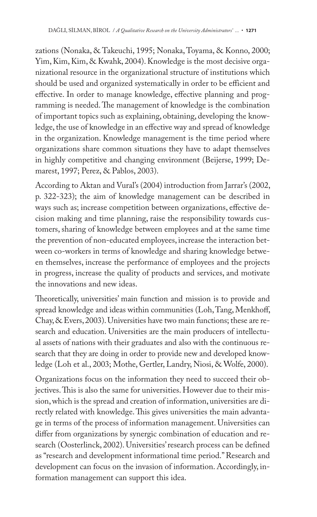zations (Nonaka, & Takeuchi, 1995; Nonaka, Toyama, & Konno, 2000; Yim, Kim, Kim, & Kwahk, 2004). Knowledge is the most decisive organizational resource in the organizational structure of institutions which should be used and organized systematically in order to be efficient and effective. In order to manage knowledge, effective planning and programming is needed. The management of knowledge is the combination of important topics such as explaining, obtaining, developing the knowledge, the use of knowledge in an effective way and spread of knowledge in the organization. Knowledge management is the time period where organizations share common situations they have to adapt themselves in highly competitive and changing environment (Beijerse, 1999; Demarest, 1997; Perez, & Pablos, 2003).

According to Aktan and Vural's (2004) introduction from Jarrar's (2002, p. 322-323); the aim of knowledge management can be described in ways such as; increase competition between organizations, effective decision making and time planning, raise the responsibility towards customers, sharing of knowledge between employees and at the same time the prevention of non-educated employees, increase the interaction between co-workers in terms of knowledge and sharing knowledge between themselves, increase the performance of employees and the projects in progress, increase the quality of products and services, and motivate the innovations and new ideas.

Theoretically, universities' main function and mission is to provide and spread knowledge and ideas within communities (Loh, Tang, Menkhoff, Chay, & Evers, 2003). Universities have two main functions; these are research and education. Universities are the main producers of intellectual assets of nations with their graduates and also with the continuous research that they are doing in order to provide new and developed knowledge (Loh et al., 2003; Mothe, Gertler, Landry, Niosi, & Wolfe, 2000).

Organizations focus on the information they need to succeed their objectives. This is also the same for universities. However due to their mission, which is the spread and creation of information, universities are directly related with knowledge. This gives universities the main advantage in terms of the process of information management. Universities can differ from organizations by synergic combination of education and research (Oosterlinck, 2002). Universities' research process can be defined as "research and development informational time period." Research and development can focus on the invasion of information. Accordingly, information management can support this idea.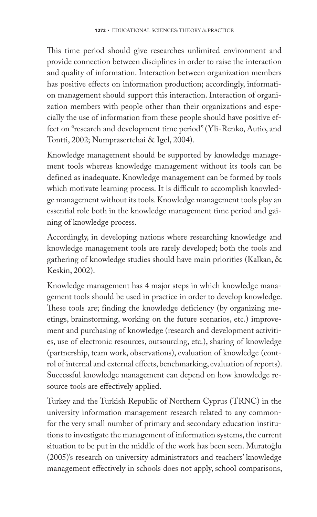This time period should give researches unlimited environment and provide connection between disciplines in order to raise the interaction and quality of information. Interaction between organization members has positive effects on information production; accordingly, information management should support this interaction. Interaction of organization members with people other than their organizations and especially the use of information from these people should have positive effect on "research and development time period" (Yli-Renko, Autio, and Tontti, 2002; Numprasertchai & Igel, 2004).

Knowledge management should be supported by knowledge management tools whereas knowledge management without its tools can be defined as inadequate. Knowledge management can be formed by tools which motivate learning process. It is difficult to accomplish knowledge management without its tools. Knowledge management tools play an essential role both in the knowledge management time period and gaining of knowledge process.

Accordingly, in developing nations where researching knowledge and knowledge management tools are rarely developed; both the tools and gathering of knowledge studies should have main priorities (Kalkan, & Keskin, 2002).

Knowledge management has 4 major steps in which knowledge management tools should be used in practice in order to develop knowledge. These tools are; finding the knowledge deficiency (by organizing meetings, brainstorming, working on the future scenarios, etc.) improvement and purchasing of knowledge (research and development activities, use of electronic resources, outsourcing, etc.), sharing of knowledge (partnership, team work, observations), evaluation of knowledge (control of internal and external effects, benchmarking, evaluation of reports). Successful knowledge management can depend on how knowledge resource tools are effectively applied.

Turkey and the Turkish Republic of Northern Cyprus (TRNC) in the university information management research related to any commonfor the very small number of primary and secondary education institutions to investigate the management of information systems, the current situation to be put in the middle of the work has been seen. Muratoğlu (2005)'s research on university administrators and teachers' knowledge management effectively in schools does not apply, school comparisons,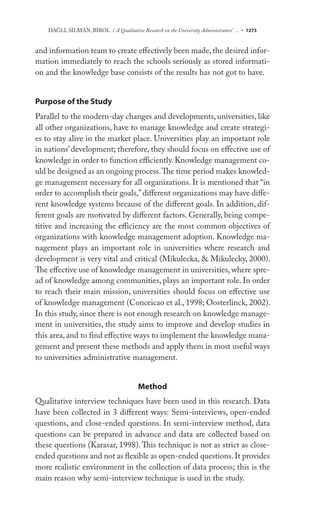and information team to create effectively been made, the desired information immediately to reach the schools seriously as stored information and the knowledge base consists of the results has not got to have.

#### **Purpose of the Study**

Parallel to the modern-day changes and developments, universities, like all other organizations, have to manage knowledge and create strategies to stay alive in the market place. Universities play an important role in nations' development; therefore, they should focus on effective use of knowledge in order to function efficiently. Knowledge management could be designed as an ongoing process. The time period makes knowledge management necessary for all organizations. It is mentioned that "in order to accomplish their goals," different organizations may have different knowledge systems because of the different goals. In addition, different goals are motivated by different factors. Generally, being competitive and increasing the efficiency are the most common objectives of organizations with knowledge management adoption. Knowledge management plays an important role in universities where research and development is very vital and critical (Mikulecka, & Mikulecky, 2000). The effective use of knowledge management in universities, where spread of knowledge among communities, plays an important role. In order to reach their main mission, universities should focus on effective use of knowledge management (Conceicao et al., 1998; Oosterlinck, 2002). In this study, since there is not enough research on knowledge management in universities, the study aims to improve and develop studies in this area, and to find effective ways to implement the knowledge management and present these methods and apply them in most useful ways to universities administrative management.

#### **Method**

Qualitative interview techniques have been used in this research. Data have been collected in 3 different ways: Semi-interviews, open-ended questions, and close-ended questions. In semi-interview method, data questions can be prepared in advance and data are collected based on these questions (Karasar, 1998). This technique is not as strict as closeended questions and not as flexible as open-ended questions. It provides more realistic environment in the collection of data process; this is the main reason why semi-interview technique is used in the study.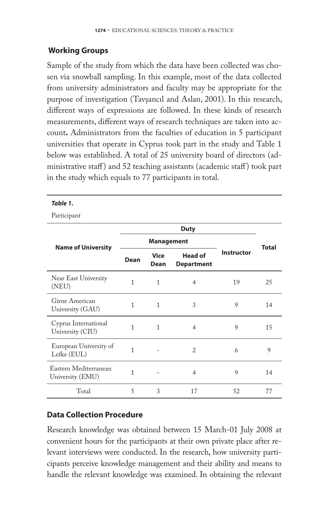#### **Working Groups**

Sample of the study from which the data have been collected was chosen via snowball sampling. In this example, most of the data collected from university administrators and faculty may be appropriate for the purpose of investigation (Tavşancıl and Aslan, 2001). In this research, different ways of expressions are followed. In these kinds of research measurements, different ways of research techniques are taken into account**.** Administrators from the faculties of education in 5 participant universities that operate in Cyprus took part in the study and Table 1 below was established. A total of 25 university board of directors (administrative staff) and 52 teaching assistants (academic staff) took part in the study which equals to 77 participants in total.

*Table 1.* 

Participant

| <b>Name of University</b>                 |              | <b>Management</b>                                          |                | <b>Total</b> |                   |
|-------------------------------------------|--------------|------------------------------------------------------------|----------------|--------------|-------------------|
|                                           | Dean         | <b>Head of</b><br><b>Vice</b><br><b>Department</b><br>Dean |                |              | <b>Instructor</b> |
| Near East University<br>(NEU)             | 1            | 1                                                          | $\overline{4}$ | 19           | 25                |
| Girne American<br>University (GAU)        | 1            | 1                                                          | 3              | 9            | 14                |
| Cyprus International<br>University (CIU)  | 1            | 1                                                          | 4              | 9            | 15                |
| European University of<br>Lefke (EUL)     | 1            |                                                            | $\overline{c}$ | 6            | 9                 |
| Eastern Mediterranean<br>University (EMU) | $\mathbf{1}$ |                                                            | $\overline{4}$ | 9            | 14                |
| Total                                     | 5            | 3                                                          | 17             | 52           | 77                |

#### **Data Collection Procedure**

Research knowledge was obtained between 15 March-01 July 2008 at convenient hours for the participants at their own private place after relevant interviews were conducted. In the research, how university participants perceive knowledge management and their ability and means to handle the relevant knowledge was examined. In obtaining the relevant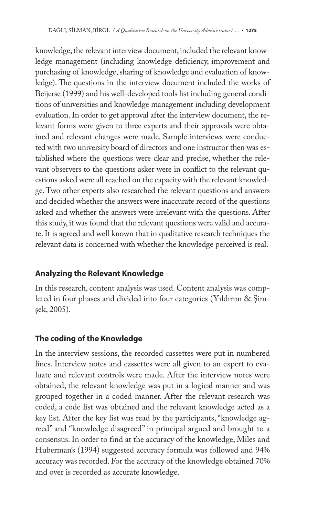knowledge, the relevant interview document, included the relevant knowledge management (including knowledge deficiency, improvement and purchasing of knowledge, sharing of knowledge and evaluation of knowledge). The questions in the interview document included the works of Beijerse (1999) and his well-developed tools list including general conditions of universities and knowledge management including development evaluation. In order to get approval after the interview document, the relevant forms were given to three experts and their approvals were obtained and relevant changes were made. Sample interviews were conducted with two university board of directors and one instructor then was established where the questions were clear and precise, whether the relevant observers to the questions asker were in conflict to the relevant questions asked were all reached on the capacity with the relevant knowledge. Two other experts also researched the relevant questions and answers and decided whether the answers were inaccurate record of the questions asked and whether the answers were irrelevant with the questions. After this study, it was found that the relevant questions were valid and accurate. It is agreed and well known that in qualitative research techniques the relevant data is concerned with whether the knowledge perceived is real.

## **Analyzing the Relevant Knowledge**

In this research, content analysis was used. Content analysis was completed in four phases and divided into four categories (Yıldırım & Şimşek, 2005).

# **The coding of the Knowledge**

In the interview sessions, the recorded cassettes were put in numbered lines. Interview notes and cassettes were all given to an expert to evaluate and relevant controls were made. After the interview notes were obtained, the relevant knowledge was put in a logical manner and was grouped together in a coded manner. After the relevant research was coded, a code list was obtained and the relevant knowledge acted as a key list. After the key list was read by the participants, "knowledge agreed" and "knowledge disagreed" in principal argued and brought to a consensus. In order to find at the accuracy of the knowledge, Miles and Huberman's (1994) suggested accuracy formula was followed and 94% accuracy was recorded. For the accuracy of the knowledge obtained 70% and over is recorded as accurate knowledge.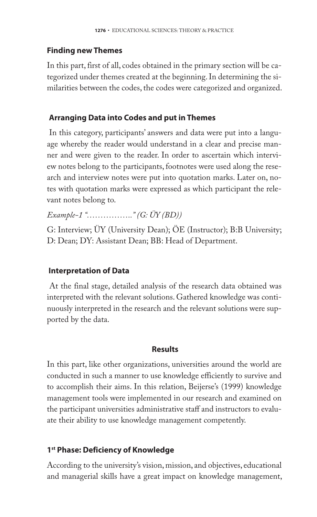#### **Finding new Themes**

In this part, first of all, codes obtained in the primary section will be categorized under themes created at the beginning. In determining the similarities between the codes, the codes were categorized and organized.

## **Arranging Data into Codes and put in Themes**

In this category, participants' answers and data were put into a language whereby the reader would understand in a clear and precise manner and were given to the reader. In order to ascertain which interview notes belong to the participants, footnotes were used along the research and interview notes were put into quotation marks. Later on, notes with quotation marks were expressed as which participant the relevant notes belong to.

*Example-1 "…………….." (G: ÜY (BD))*

G: Interview; ÜY (University Dean); ÖE (Instructor); B:B University; D: Dean; DY: Assistant Dean; BB: Head of Department.

# **Interpretation of Data**

At the final stage, detailed analysis of the research data obtained was interpreted with the relevant solutions. Gathered knowledge was continuously interpreted in the research and the relevant solutions were supported by the data.

#### **Results**

In this part, like other organizations, universities around the world are conducted in such a manner to use knowledge efficiently to survive and to accomplish their aims. In this relation, Beijerse's (1999) knowledge management tools were implemented in our research and examined on the participant universities administrative staff and instructors to evaluate their ability to use knowledge management competently.

# **1st Phase: Deficiency of Knowledge**

According to the university's vision, mission, and objectives, educational and managerial skills have a great impact on knowledge management,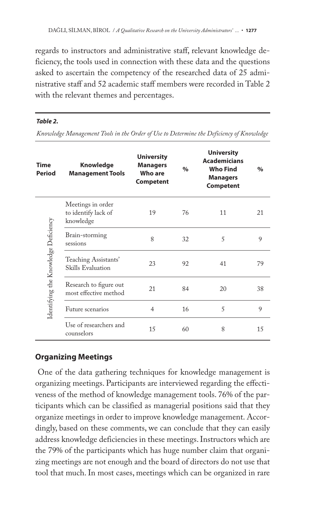regards to instructors and administrative staff, relevant knowledge deficiency, the tools used in connection with these data and the questions asked to ascertain the competency of the researched data of 25 administrative staff and 52 academic staff members were recorded in Table 2 with the relevant themes and percentages.

#### *Table 2.*

*Knowledge Management Tools in the Order of Use to Determine the Deficiency of Knowledge*

| Time<br><b>Period</b>                | <b>Knowledge</b><br><b>Management Tools</b>           | <b>University</b><br><b>Managers</b><br>Who are<br><b>Competent</b> | $\%$ | <b>University</b><br><b>Academicians</b><br><b>Who Find</b><br><b>Managers</b><br><b>Competent</b> | $\%$ |
|--------------------------------------|-------------------------------------------------------|---------------------------------------------------------------------|------|----------------------------------------------------------------------------------------------------|------|
| Identifying the Knowledge Deficiency | Meetings in order<br>to identify lack of<br>knowledge | 19                                                                  | 76   | 11                                                                                                 | 21   |
|                                      | Brain-storming<br>sessions                            | 8                                                                   | 32   | 5                                                                                                  | 9    |
|                                      | Teaching Assistants'<br>Skills Evaluation             | 23                                                                  | 92   | 41                                                                                                 | 79   |
|                                      | Research to figure out<br>most effective method       | 21                                                                  | 84   | 20                                                                                                 | 38   |
|                                      | Future scenarios                                      | 4                                                                   | 16   | 5                                                                                                  | 9    |
|                                      | Use of researchers and<br>counselors                  | 15                                                                  | 60   | 8                                                                                                  | 15   |

#### **Organizing Meetings**

One of the data gathering techniques for knowledge management is organizing meetings. Participants are interviewed regarding the effectiveness of the method of knowledge management tools. 76% of the participants which can be classified as managerial positions said that they organize meetings in order to improve knowledge management. Accordingly, based on these comments, we can conclude that they can easily address knowledge deficiencies in these meetings. Instructors which are the 79% of the participants which has huge number claim that organizing meetings are not enough and the board of directors do not use that tool that much. In most cases, meetings which can be organized in rare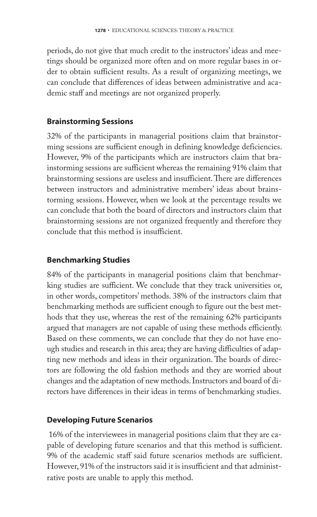periods, do not give that much credit to the instructors' ideas and meetings should be organized more often and on more regular bases in order to obtain sufficient results. As a result of organizing meetings, we can conclude that differences of ideas between administrative and academic staff and meetings are not organized properly.

#### **Brainstorming Sessions**

32% of the participants in managerial positions claim that brainstorming sessions are sufficient enough in defining knowledge deficiencies. However, 9% of the participants which are instructors claim that brainstorming sessions are sufficient whereas the remaining 91% claim that brainstorming sessions are useless and insufficient. There are differences between instructors and administrative members' ideas about brainstorming sessions. However, when we look at the percentage results we can conclude that both the board of directors and instructors claim that brainstorming sessions are not organized frequently and therefore they conclude that this method is insufficient.

## **Benchmarking Studies**

84% of the participants in managerial positions claim that benchmarking studies are sufficient. We conclude that they track universities or, in other words, competitors' methods. 38% of the instructors claim that benchmarking methods are sufficient enough to figure out the best methods that they use, whereas the rest of the remaining 62% participants argued that managers are not capable of using these methods efficiently. Based on these comments, we can conclude that they do not have enough studies and research in this area; they are having difficulties of adapting new methods and ideas in their organization. The boards of directors are following the old fashion methods and they are worried about changes and the adaptation of new methods. Instructors and board of directors have differences in their ideas in terms of benchmarking studies.

## **Developing Future Scenarios**

16% of the interviewees in managerial positions claim that they are capable of developing future scenarios and that this method is sufficient. 9% of the academic staff said future scenarios methods are sufficient. However, 91% of the instructors said it is insufficient and that administrative posts are unable to apply this method.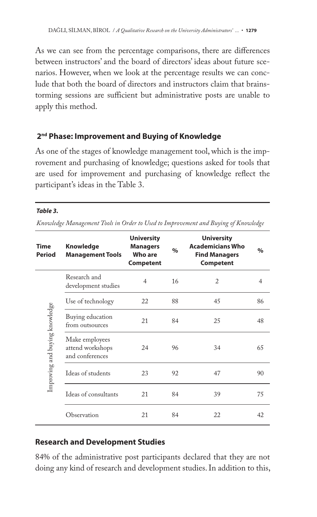As we can see from the percentage comparisons, there are differences between instructors' and the board of directors' ideas about future scenarios. However, when we look at the percentage results we can conclude that both the board of directors and instructors claim that brainstorming sessions are sufficient but administrative posts are unable to apply this method.

## **2nd Phase: Improvement and Buying of Knowledge**

As one of the stages of knowledge management tool, which is the improvement and purchasing of knowledge; questions asked for tools that are used for improvement and purchasing of knowledge reflect the participant's ideas in the Table 3.

#### *Table 3.*

*Knowledge Management Tools in Order to Used to Improvement and Buying of Knowledge*

| <b>Time</b><br>Period          | Knowledge<br><b>Management Tools</b>                  | <b>University</b><br><b>Managers</b><br><b>Who are</b><br><b>Competent</b> | $\frac{9}{6}$ | <b>University</b><br><b>Academicians Who</b><br><b>Find Managers</b><br><b>Competent</b> | $\%$ |
|--------------------------------|-------------------------------------------------------|----------------------------------------------------------------------------|---------------|------------------------------------------------------------------------------------------|------|
|                                | Research and<br>development studies                   | 4                                                                          | 16            | 2                                                                                        | 4    |
|                                | Use of technology                                     | 22                                                                         | 88            | 45                                                                                       | 86   |
| Improving and buying knowledge | Buying education<br>from outsources                   | 21                                                                         | 84            | 25                                                                                       | 48   |
|                                | Make employees<br>attend workshops<br>and conferences | 24                                                                         | 96            | 34                                                                                       | 65   |
|                                | Ideas of students                                     | 23                                                                         | 92            | 47                                                                                       | 90   |
|                                | Ideas of consultants                                  | 21                                                                         | 84            | 39                                                                                       | 75   |
|                                | Observation                                           | 21                                                                         | 84            | 22                                                                                       | 42   |

## **Research and Development Studies**

84% of the administrative post participants declared that they are not doing any kind of research and development studies. In addition to this,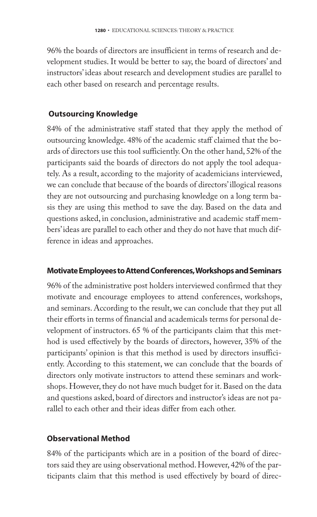96% the boards of directors are insufficient in terms of research and development studies. It would be better to say, the board of directors' and instructors' ideas about research and development studies are parallel to each other based on research and percentage results.

## **Outsourcing Knowledge**

84% of the administrative staff stated that they apply the method of outsourcing knowledge. 48% of the academic staff claimed that the boards of directors use this tool sufficiently. On the other hand, 52% of the participants said the boards of directors do not apply the tool adequately. As a result, according to the majority of academicians interviewed, we can conclude that because of the boards of directors' illogical reasons they are not outsourcing and purchasing knowledge on a long term basis they are using this method to save the day. Based on the data and questions asked, in conclusion, administrative and academic staff members' ideas are parallel to each other and they do not have that much difference in ideas and approaches.

#### **Motivate Employees to Attend Conferences, Workshops and Seminars**

96% of the administrative post holders interviewed confirmed that they motivate and encourage employees to attend conferences, workshops, and seminars. According to the result, we can conclude that they put all their efforts in terms of financial and academicals terms for personal development of instructors. 65 % of the participants claim that this method is used effectively by the boards of directors, however, 35% of the participants' opinion is that this method is used by directors insufficiently. According to this statement, we can conclude that the boards of directors only motivate instructors to attend these seminars and workshops. However, they do not have much budget for it. Based on the data and questions asked, board of directors and instructor's ideas are not parallel to each other and their ideas differ from each other.

## **Observational Method**

84% of the participants which are in a position of the board of directors said they are using observational method. However, 42% of the participants claim that this method is used effectively by board of direc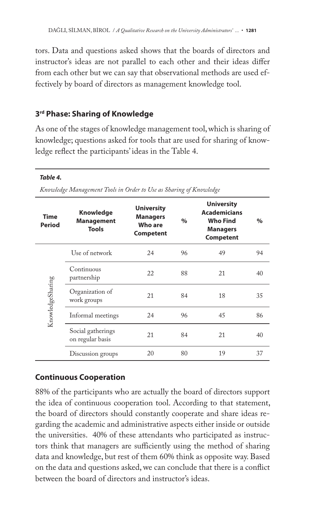tors. Data and questions asked shows that the boards of directors and instructor's ideas are not parallel to each other and their ideas differ from each other but we can say that observational methods are used effectively by board of directors as management knowledge tool.

# **3rd Phase: Sharing of Knowledge**

As one of the stages of knowledge management tool, which is sharing of knowledge; questions asked for tools that are used for sharing of knowledge reflect the participants' ideas in the Table 4.

#### *Table 4.*

*Knowledge Management Tools in Order to Use as Sharing of Knowledge*

| <b>Time</b><br><b>Period</b> | <b>Knowledge</b><br><b>Management</b><br><b>Tools</b> | <b>University</b><br><b>Managers</b><br>Who are<br><b>Competent</b> | $\frac{0}{0}$ | <b>University</b><br><b>Academicians</b><br><b>Who Find</b><br><b>Managers</b><br><b>Competent</b> | $\%$ |
|------------------------------|-------------------------------------------------------|---------------------------------------------------------------------|---------------|----------------------------------------------------------------------------------------------------|------|
| KnowledgeSharing             | Use of network                                        | 24                                                                  | 96            | 49                                                                                                 | 94   |
|                              | Continuous<br>partnership                             | 22                                                                  | 88            | 21                                                                                                 | 40   |
|                              | Organization of<br>work groups                        | 21                                                                  | 84            | 18                                                                                                 | 35   |
|                              | Informal meetings                                     | 24                                                                  | 96            | 45                                                                                                 | 86   |
|                              | Social gatherings<br>on regular basis                 | 21                                                                  | 84            | 21                                                                                                 | 40   |
|                              | Discussion groups                                     | 20                                                                  | 80            | 19                                                                                                 | 37   |

# **Continuous Cooperation**

88% of the participants who are actually the board of directors support the idea of continuous cooperation tool. According to that statement, the board of directors should constantly cooperate and share ideas regarding the academic and administrative aspects either inside or outside the universities. 40% of these attendants who participated as instructors think that managers are sufficiently using the method of sharing data and knowledge, but rest of them 60% think as opposite way. Based on the data and questions asked, we can conclude that there is a conflict between the board of directors and instructor's ideas.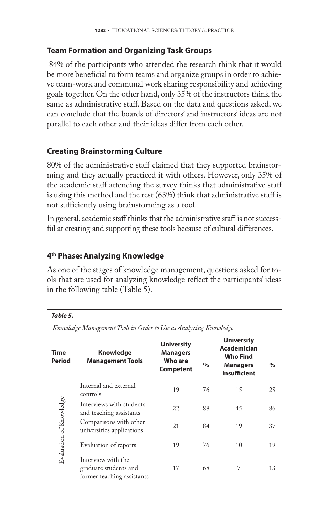#### **Team Formation and Organizing Task Groups**

84% of the participants who attended the research think that it would be more beneficial to form teams and organize groups in order to achieve team-work and communal work sharing responsibility and achieving goals together. On the other hand, only 35% of the instructors think the same as administrative staff. Based on the data and questions asked, we can conclude that the boards of directors' and instructors' ideas are not parallel to each other and their ideas differ from each other.

## **Creating Brainstorming Culture**

80% of the administrative staff claimed that they supported brainstorming and they actually practiced it with others. However, only 35% of the academic staff attending the survey thinks that administrative staff is using this method and the rest (63%) think that administrative staff is not sufficiently using brainstorming as a tool.

In general, academic staff thinks that the administrative staff is not successful at creating and supporting these tools because of cultural differences.

#### **4th Phase: Analyzing Knowledge**

As one of the stages of knowledge management, questions asked for tools that are used for analyzing knowledge reflect the participants' ideas in the following table (Table 5).

#### *Table 5.*

*Knowledge Management Tools in Order to Use as Analyzing Knowledge*

| Time<br>Period          | <b>Knowledge</b><br><b>Management Tools</b>                               | <b>University</b><br><b>Managers</b><br>Who are<br><b>Competent</b> | $\%$ | <b>University</b><br><b>Academician</b><br><b>Who Find</b><br><b>Managers</b><br><b>Insufficient</b> | $\%$ |
|-------------------------|---------------------------------------------------------------------------|---------------------------------------------------------------------|------|------------------------------------------------------------------------------------------------------|------|
| Evaluation of Knowledge | Internal and external<br>controls                                         | 19                                                                  | 76   | 15                                                                                                   | 28   |
|                         | Interviews with students<br>and teaching assistants                       | 22                                                                  | 88   | 45                                                                                                   | 86   |
|                         | Comparisons with other<br>universities applications                       | 21                                                                  | 84   | 19                                                                                                   | 37   |
|                         | Evaluation of reports                                                     | 19                                                                  | 76   | 10                                                                                                   | 19   |
|                         | Interview with the<br>graduate students and<br>former teaching assistants | 17                                                                  | 68   | 7                                                                                                    | 13   |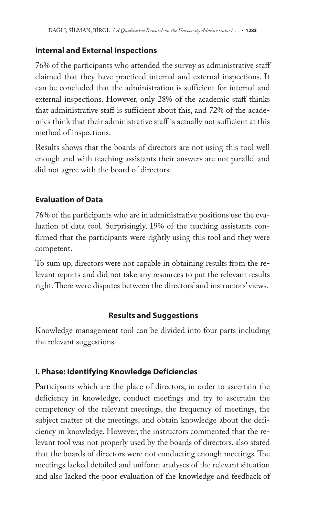## **Internal and External Inspections**

76% of the participants who attended the survey as administrative staff claimed that they have practiced internal and external inspections. It can be concluded that the administration is sufficient for internal and external inspections. However, only 28% of the academic staff thinks that administrative staff is sufficient about this, and 72% of the academics think that their administrative staff is actually not sufficient at this method of inspections.

Results shows that the boards of directors are not using this tool well enough and with teaching assistants their answers are not parallel and did not agree with the board of directors.

## **Evaluation of Data**

76% of the participants who are in administrative positions use the evaluation of data tool. Surprisingly, 19% of the teaching assistants confirmed that the participants were rightly using this tool and they were competent.

To sum up, directors were not capable in obtaining results from the relevant reports and did not take any resources to put the relevant results right. There were disputes between the directors' and instructors' views.

## **Results and Suggestions**

Knowledge management tool can be divided into four parts including the relevant suggestions.

## **I. Phase: Identifying Knowledge Deficiencies**

Participants which are the place of directors, in order to ascertain the deficiency in knowledge, conduct meetings and try to ascertain the competency of the relevant meetings, the frequency of meetings, the subject matter of the meetings, and obtain knowledge about the deficiency in knowledge. However, the instructors commented that the relevant tool was not properly used by the boards of directors, also stated that the boards of directors were not conducting enough meetings. The meetings lacked detailed and uniform analyses of the relevant situation and also lacked the poor evaluation of the knowledge and feedback of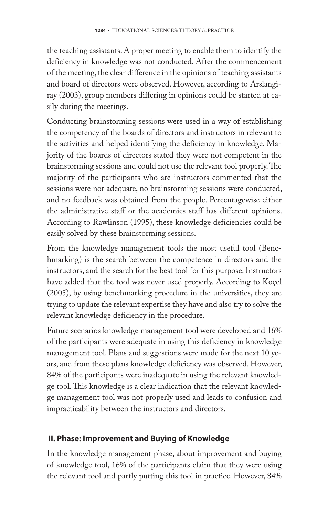the teaching assistants. A proper meeting to enable them to identify the deficiency in knowledge was not conducted. After the commencement of the meeting, the clear difference in the opinions of teaching assistants and board of directors were observed. However, according to Arslangiray (2003), group members differing in opinions could be started at easily during the meetings.

Conducting brainstorming sessions were used in a way of establishing the competency of the boards of directors and instructors in relevant to the activities and helped identifying the deficiency in knowledge. Majority of the boards of directors stated they were not competent in the brainstorming sessions and could not use the relevant tool properly. The majority of the participants who are instructors commented that the sessions were not adequate, no brainstorming sessions were conducted, and no feedback was obtained from the people. Percentagewise either the administrative staff or the academics staff has different opinions. According to Rawlinson (1995), these knowledge deficiencies could be easily solved by these brainstorming sessions.

From the knowledge management tools the most useful tool (Benchmarking) is the search between the competence in directors and the instructors, and the search for the best tool for this purpose. Instructors have added that the tool was never used properly. According to Koçel (2005), by using benchmarking procedure in the universities, they are trying to update the relevant expertise they have and also try to solve the relevant knowledge deficiency in the procedure.

Future scenarios knowledge management tool were developed and 16% of the participants were adequate in using this deficiency in knowledge management tool. Plans and suggestions were made for the next 10 years, and from these plans knowledge deficiency was observed. However, 84% of the participants were inadequate in using the relevant knowledge tool. This knowledge is a clear indication that the relevant knowledge management tool was not properly used and leads to confusion and impracticability between the instructors and directors.

## **II. Phase: Improvement and Buying of Knowledge**

In the knowledge management phase, about improvement and buying of knowledge tool, 16% of the participants claim that they were using the relevant tool and partly putting this tool in practice. However, 84%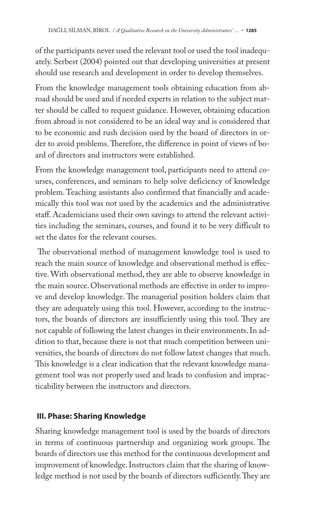of the participants never used the relevant tool or used the tool inadequately. Serbest (2004) pointed out that developing universities at present should use research and development in order to develop themselves.

From the knowledge management tools obtaining education from abroad should be used and if needed experts in relation to the subject matter should be called to request guidance. However, obtaining education from abroad is not considered to be an ideal way and is considered that to be economic and rush decision used by the board of directors in order to avoid problems. Therefore, the difference in point of views of board of directors and instructors were established.

From the knowledge management tool, participants need to attend courses, conferences, and seminars to help solve deficiency of knowledge problem. Teaching assistants also confirmed that financially and academically this tool was not used by the academics and the administrative staff. Academicians used their own savings to attend the relevant activities including the seminars, courses, and found it to be very difficult to set the dates for the relevant courses.

The observational method of management knowledge tool is used to reach the main source of knowledge and observational method is effective. With observational method, they are able to observe knowledge in the main source. Observational methods are effective in order to improve and develop knowledge. The managerial position holders claim that they are adequately using this tool. However, according to the instructors, the boards of directors are insufficiently using this tool. They are not capable of following the latest changes in their environments. In addition to that, because there is not that much competition between universities, the boards of directors do not follow latest changes that much. This knowledge is a clear indication that the relevant knowledge management tool was not properly used and leads to confusion and impracticability between the instructors and directors.

# **III. Phase: Sharing Knowledge**

Sharing knowledge management tool is used by the boards of directors in terms of continuous partnership and organizing work groups. The boards of directors use this method for the continuous development and improvement of knowledge. Instructors claim that the sharing of knowledge method is not used by the boards of directors sufficiently. They are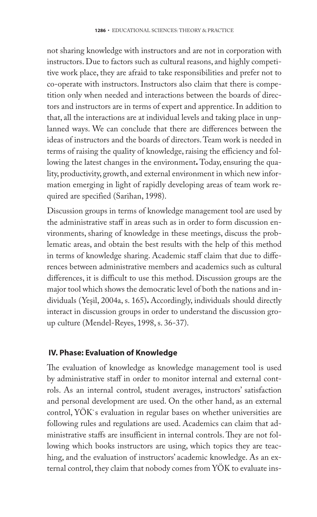not sharing knowledge with instructors and are not in corporation with instructors. Due to factors such as cultural reasons, and highly competitive work place, they are afraid to take responsibilities and prefer not to co-operate with instructors. Instructors also claim that there is competition only when needed and interactions between the boards of directors and instructors are in terms of expert and apprentice. In addition to that, all the interactions are at individual levels and taking place in unplanned ways. We can conclude that there are differences between the ideas of instructors and the boards of directors. Team work is needed in terms of raising the quality of knowledge, raising the efficiency and following the latest changes in the environment**.** Today, ensuring the quality, productivity, growth, and external environment in which new information emerging in light of rapidly developing areas of team work required are specified (Sarihan, 1998).

Discussion groups in terms of knowledge management tool are used by the administrative staff in areas such as in order to form discussion environments, sharing of knowledge in these meetings, discuss the problematic areas, and obtain the best results with the help of this method in terms of knowledge sharing. Academic staff claim that due to differences between administrative members and academics such as cultural differences, it is difficult to use this method. Discussion groups are the major tool which shows the democratic level of both the nations and individuals (Yeşil, 2004a, s. 165)**.** Accordingly, individuals should directly interact in discussion groups in order to understand the discussion group culture (Mendel-Reyes, 1998, s. 36-37).

#### **IV. Phase: Evaluation of Knowledge**

The evaluation of knowledge as knowledge management tool is used by administrative staff in order to monitor internal and external controls. As an internal control, student averages, instructors' satisfaction and personal development are used. On the other hand, as an external control, YÖK`s evaluation in regular bases on whether universities are following rules and regulations are used. Academics can claim that administrative staffs are insufficient in internal controls. They are not following which books instructors are using, which topics they are teaching, and the evaluation of instructors' academic knowledge. As an external control, they claim that nobody comes from YÖK to evaluate ins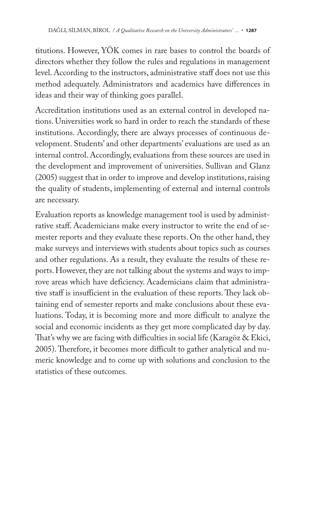titutions. However, YÖK comes in rare bases to control the boards of directors whether they follow the rules and regulations in management level. According to the instructors, administrative staff does not use this method adequately. Administrators and academics have differences in ideas and their way of thinking goes parallel.

Accreditation institutions used as an external control in developed nations. Universities work so hard in order to reach the standards of these institutions. Accordingly, there are always processes of continuous development. Students' and other departments' evaluations are used as an internal control. Accordingly, evaluations from these sources are used in the development and improvement of universities. Sullivan and Glanz (2005) suggest that in order to improve and develop institutions, raising the quality of students, implementing of external and internal controls are necessary.

Evaluation reports as knowledge management tool is used by administrative staff. Academicians make every instructor to write the end of semester reports and they evaluate these reports. On the other hand, they make surveys and interviews with students about topics such as courses and other regulations. As a result, they evaluate the results of these reports. However, they are not talking about the systems and ways to improve areas which have deficiency. Academicians claim that administrative staff is insufficient in the evaluation of these reports. They lack obtaining end of semester reports and make conclusions about these evaluations. Today, it is becoming more and more difficult to analyze the social and economic incidents as they get more complicated day by day. That's why we are facing with difficulties in social life (Karagöz & Ekici, 2005). Therefore, it becomes more difficult to gather analytical and numeric knowledge and to come up with solutions and conclusion to the statistics of these outcomes.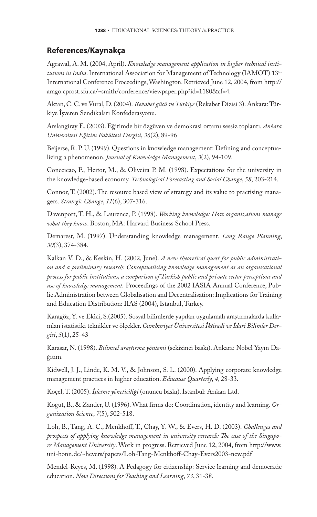#### **References/Kaynakça**

Agrawal, A. M. (2004, April). *Knowledge management application in higher technical institutions in India*. International Association for Management of Technology (IAMOT) 13<sup>th</sup> International Conference Proceedings, Washington. Retrieved June 12, 2004, from http:// arago.cprost.sfu.ca/~smith/conference/viewpaper.php?id=1180&cf=4.

Aktan, C. C. ve Vural, D. (2004). *Rekabet gücü ve Türkiye* (Rekabet Dizisi 3). Ankara: Türkiye İşveren Sendikaları Konfederasyonu.

Arslangiray E. (2003). Eğitimde bir özgüven ve demokrasi ortamı sessiz toplantı. *Ankara Üniversitesi Eğitim Fakültesi Dergisi*, *36*(2), 89-96

Beijerse, R. P. U. (1999). Questions in knowledge management: Defining and conceptualizing a phenomenon. *Journal of Knowledge Management*, *3*(2), 94-109.

Conceicao, P., Heitor, M., & Oliveira P. M. (1998). Expectations for the university in the knowledge-based economy. *Technological Forecasting and Social Change*, *58*, 203-214.

Connor, T. (2002). The resource based view of strategy and its value to practising managers. *Strategic Change*, *11*(6), 307-316.

Davenport, T. H., & Laurence, P. (1998). *Working knowledge: How organizations manage what they know*. Boston, MA: Harvard Business School Press.

Demarest, M. (1997). Understanding knowledge management. *Long Range Planning*, *30*(3), 374-384.

Kalkan V. D., & Keskin, H. (2002, June). *A new theoretical quest for public administration and a preliminary research: Conceptualising knowledge management as an organısational process for public institutions, a comparison of Turkish public and private sector perceptions and use of knowledge management.* Proceedings of the 2002 IASIA Annual Conference, Public Administration between Globalisation and Decentralisation: Implications for Training and Education Distribution: IIAS (2004), Istanbul, Turkey.

Karagöz, Y. ve Ekici, S.(2005). Sosyal bilimlerde yapılan uygulamalı araştırmalarda kullanılan istatistiki teknikler ve ölçekler. *Cumhuriyet Üniversitesi İktisadi ve İdari Bilimler Dergisi*, *5*(1), 25-43

Karasar, N. (1998). *Bilimsel araştırma yöntemi* (sekizinci baskı). Ankara: Nobel Yayın Dağıtım.

Kidwell, J. J., Linde, K. M. V., & Johnson, S. L. (2000). Applying corporate knowledge management practices in higher education. *Educause Quarterly*, *4*, 28-33.

Koçel, T. (2005). *İşletme yöneticiliği* (onuncu baskı). İstanbul: Arıkan Ltd.

Kogut, B., & Zander, U. (1996). What firms do: Coordination, identity and learning. *Organization Science*, *7*(5), 502-518.

Loh, B., Tang, A. C., Menkhoff, T., Chay, Y. W., & Evers, H. D. (2003). *Challenges and* prospects of applying knowledge management in university research: The case of the Singapo*re Management University*. Work in progress. Retrieved June 12, 2004, from http://www. uni-bonn.de/~hevers/papers/Loh-Tang-Menkhoff-Chay-Evers2003-new.pdf

Mendel-Reyes, M. (1998). A Pedagogy for citizenship: Service learning and democratic education. *New Directions for Teaching and Learning*, *73*, 31-38.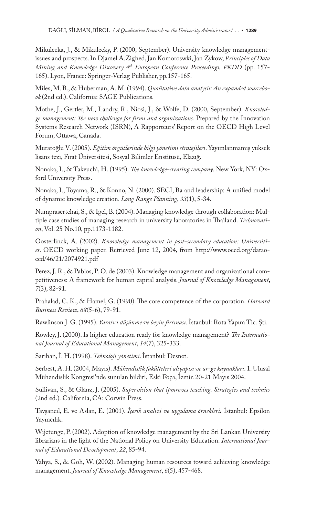Mikulecka, J., & Mikulecky, P. (2000, September). University knowledge managementissues and prospects. In Djamel A.Zighed, Jan Komoroswki, Jan Zykow, *Principles of Data Mining and Knowledge Discovery 4th European Conference Proceedings, PKDD* (pp. 157- 165). Lyon, France: Springer-Verlag Publisher, pp.157-165.

Miles, M. B., & Huberman, A. M. (1994). *Qualitative data analysis: An expanded sourcebook* (2nd ed.). California: SAGE Publications.

Mothe, J., Gertler, M., Landry, R., Niosi, J., & Wolfe, D. (2000, September). *Knowled*ge management: The new challenge for firms and organizations. Prepared by the Innovation Systems Research Network (ISRN), A Rapporteurs' Report on the OECD High Level Forum, Ottawa, Canada.

Muratoğlu V. (2005). *Eğitim örgütlerinde bilgi yönetimi stratejileri*. Yayımlanmamış yüksek lisans tezi, Fırat Üniversitesi, Sosyal Bilimler Enstitüsü, Elazığ.

Nonaka, I., & Takeuchi, H. (1995). *The knowledge-creating company*. New York, NY: Oxford University Press.

Nonaka, I., Toyama, R., & Konno, N. (2000). SECI, Ba and leadership: A unified model of dynamic knowledge creation. *Long Range Planning*, *33*(1), 5-34.

Numprasertchai, S., & Igel, B. (2004). Managing knowledge through collaboration: Multiple case studies of managing research in university laboratories in Thailand. Technovati*on*, Vol. 25 No.10, pp.1173-1182.

Oosterlinck, A. (2002). *Knowledge management in post-secondary e ducation: Universities*. OECD working paper. Retrieved June 12, 2004, from http://www.oecd.org/dataoecd/46/21/2074921.pdf

Perez, J. R., & Pablos, P. O. de (2003). Knowledge management and organizational competitiveness: A framework for human capital analysis. *Journal of Knowledge Management*, *7*(3), 82-91.

Prahalad, C. K., & Hamel, G. (1990). The core competence of the corporation. *Harvard Business Review*, *68*(5-6), 79-91.

Rawlinson J. G. (1995). *Yaratıcı düşünme ve beyin fırtınası*. İstanbul: Rota Yapım Tic. Şti.

Rowley, J. (2000). Is higher education ready for knowledge management? *The International Journal of Educational Management*, *14*(7), 325-333.

Sarıhan, İ. H. (1998). *Teknoloji yönetimi*. İstanbul: Desnet.

Serbest, A. H. (2004, Mayıs). *Mühendislik fakülteleri altyapısı ve ar-ge kaynakları*. 1. Ulusal Mühendislik Kongresi'nde sunulan bildiri, Eski Foça, İzmir. 20-21 Mayıs 2004.

Sullivan, S., & Glanz, J. (2005). *Supervision that ipmroves teaching. Strategies and technics* (2nd ed.)*.* California, CA: Corwin Press.

Tavşancıl, E. ve Aslan, E. (2001). *İçerik analizi ve uygulama örnekleri.* İstanbul: Epsilon Yayıncılık.

Wijetunge, P. (2002) . Adoption of knowledge management by the Sri Lankan University librarians in the light of the National Policy on University Education. *International Journal of Educational Development*, *22*, 85-94.

Yahya, S., & Goh, W. (2002). Managing human resources toward achieving knowledge management. *Journal of Knowledge Management*, *6*(5), 457-468.